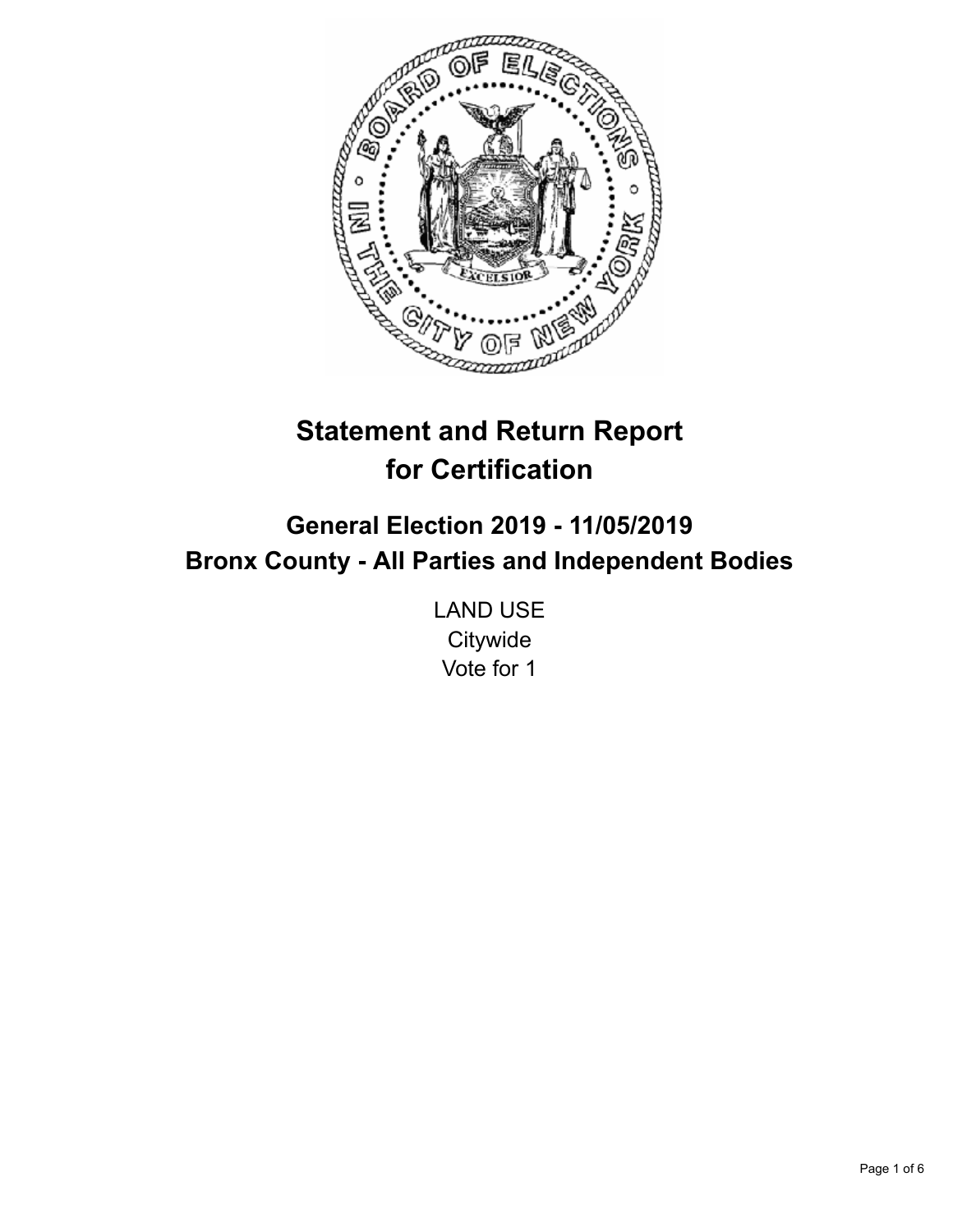

# **Statement and Return Report for Certification**

## **General Election 2019 - 11/05/2019 Bronx County - All Parties and Independent Bodies**

LAND USE **Citywide** Vote for 1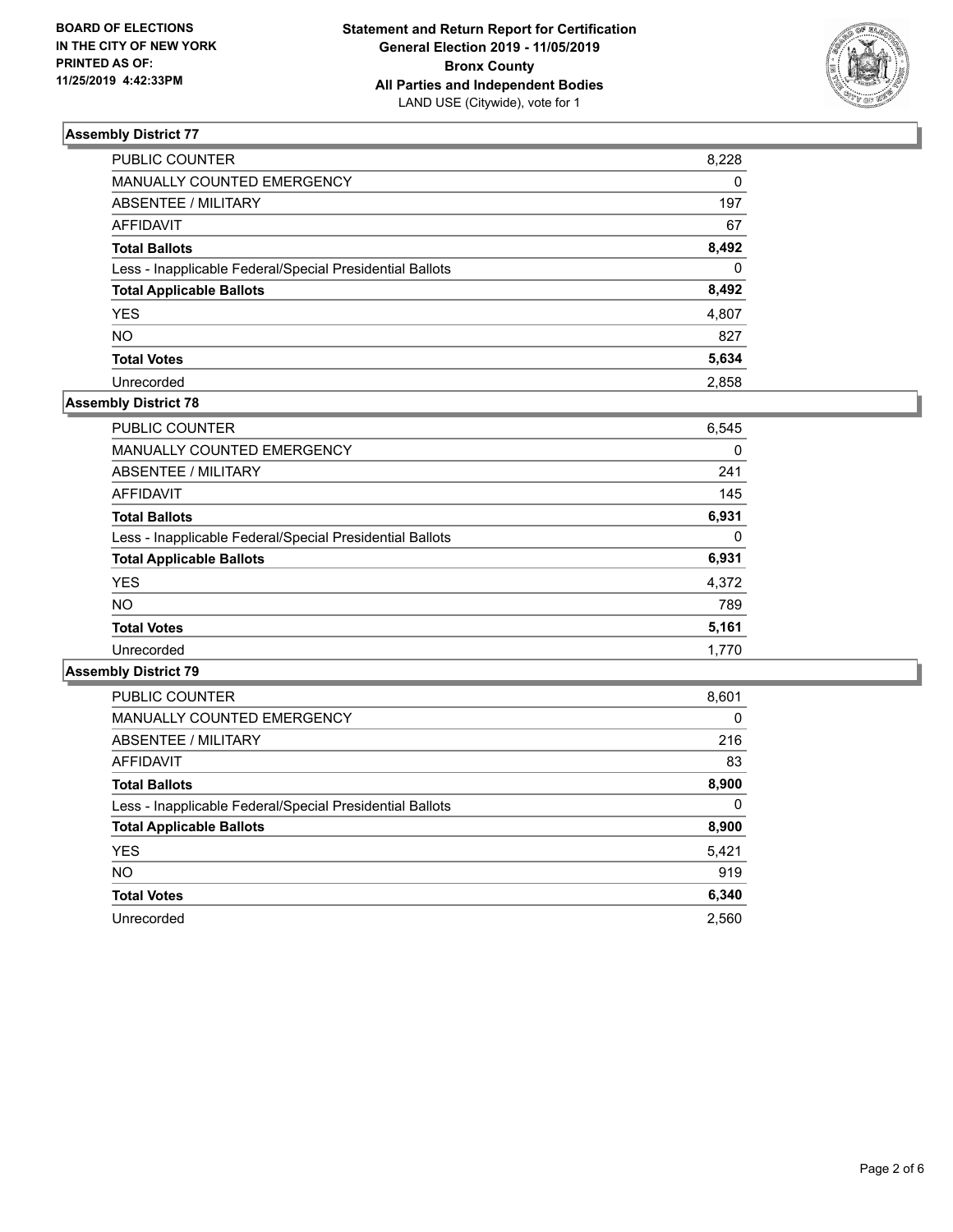

| PUBLIC COUNTER                                           | 8,228    |
|----------------------------------------------------------|----------|
| MANUALLY COUNTED EMERGENCY                               | $\Omega$ |
| <b>ABSENTEE / MILITARY</b>                               | 197      |
| <b>AFFIDAVIT</b>                                         | 67       |
| <b>Total Ballots</b>                                     | 8,492    |
| Less - Inapplicable Federal/Special Presidential Ballots | $\Omega$ |
| <b>Total Applicable Ballots</b>                          | 8,492    |
| <b>YES</b>                                               | 4,807    |
| <b>NO</b>                                                | 827      |
| <b>Total Votes</b>                                       | 5,634    |
| Unrecorded                                               | 2.858    |

#### **Assembly District 78**

| <b>PUBLIC COUNTER</b>                                    | 6,545 |
|----------------------------------------------------------|-------|
| <b>MANUALLY COUNTED EMERGENCY</b>                        | 0     |
| ABSENTEE / MILITARY                                      | 241   |
| AFFIDAVIT                                                | 145   |
| <b>Total Ballots</b>                                     | 6,931 |
| Less - Inapplicable Federal/Special Presidential Ballots | 0     |
| <b>Total Applicable Ballots</b>                          | 6,931 |
| <b>YES</b>                                               | 4,372 |
| <b>NO</b>                                                | 789   |
| <b>Total Votes</b>                                       | 5,161 |
| Unrecorded                                               | 1.770 |

| <b>PUBLIC COUNTER</b>                                    | 8,601    |
|----------------------------------------------------------|----------|
| <b>MANUALLY COUNTED EMERGENCY</b>                        | $\Omega$ |
| ABSENTEE / MILITARY                                      | 216      |
| AFFIDAVIT                                                | 83       |
| <b>Total Ballots</b>                                     | 8,900    |
| Less - Inapplicable Federal/Special Presidential Ballots | $\Omega$ |
| <b>Total Applicable Ballots</b>                          | 8,900    |
| <b>YES</b>                                               | 5,421    |
| NO.                                                      | 919      |
| <b>Total Votes</b>                                       | 6,340    |
| Unrecorded                                               | 2,560    |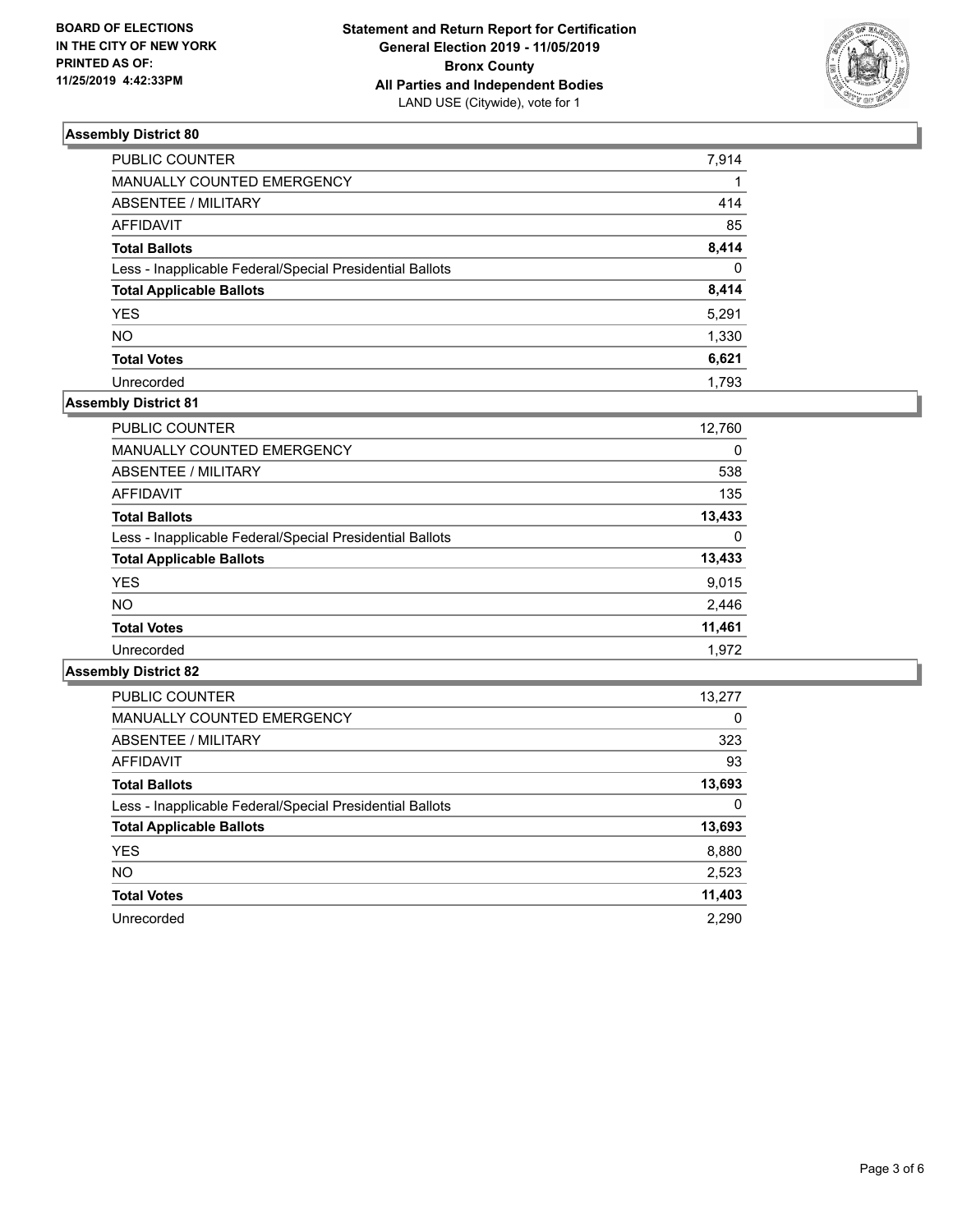

| PUBLIC COUNTER                                           | 7,914    |
|----------------------------------------------------------|----------|
| <b>MANUALLY COUNTED EMERGENCY</b>                        |          |
| <b>ABSENTEE / MILITARY</b>                               | 414      |
| <b>AFFIDAVIT</b>                                         | 85       |
| <b>Total Ballots</b>                                     | 8,414    |
| Less - Inapplicable Federal/Special Presidential Ballots | $\Omega$ |
| <b>Total Applicable Ballots</b>                          | 8,414    |
| <b>YES</b>                                               | 5,291    |
| NO                                                       | 1,330    |
| <b>Total Votes</b>                                       | 6,621    |
| Unrecorded                                               | 1.793    |

## **Assembly District 81**

| <b>PUBLIC COUNTER</b>                                    | 12,760 |
|----------------------------------------------------------|--------|
| <b>MANUALLY COUNTED EMERGENCY</b>                        | 0      |
| ABSENTEE / MILITARY                                      | 538    |
| AFFIDAVIT                                                | 135    |
| <b>Total Ballots</b>                                     | 13,433 |
| Less - Inapplicable Federal/Special Presidential Ballots | 0      |
| <b>Total Applicable Ballots</b>                          | 13,433 |
| <b>YES</b>                                               | 9,015  |
| <b>NO</b>                                                | 2,446  |
| <b>Total Votes</b>                                       | 11,461 |
| Unrecorded                                               | 1.972  |

| <b>PUBLIC COUNTER</b>                                    | 13,277   |
|----------------------------------------------------------|----------|
| <b>MANUALLY COUNTED EMERGENCY</b>                        | $\Omega$ |
| ABSENTEE / MILITARY                                      | 323      |
| AFFIDAVIT                                                | 93       |
| <b>Total Ballots</b>                                     | 13,693   |
| Less - Inapplicable Federal/Special Presidential Ballots | 0        |
| <b>Total Applicable Ballots</b>                          | 13,693   |
| <b>YES</b>                                               | 8,880    |
| <b>NO</b>                                                | 2,523    |
| <b>Total Votes</b>                                       | 11,403   |
| Unrecorded                                               | 2,290    |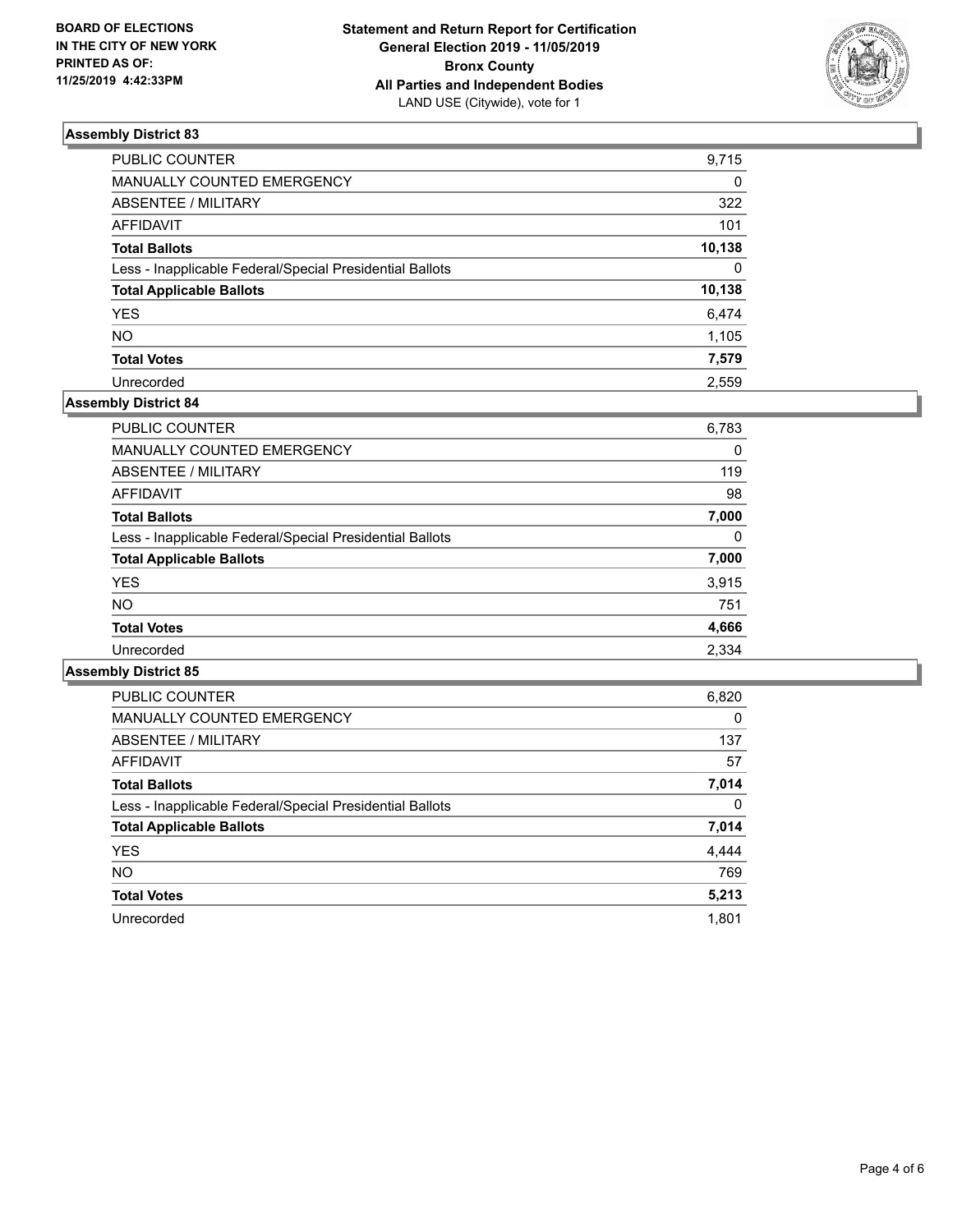

| PUBLIC COUNTER                                           | 9,715    |
|----------------------------------------------------------|----------|
| MANUALLY COUNTED EMERGENCY                               | 0        |
| ABSENTEE / MILITARY                                      | 322      |
| AFFIDAVIT                                                | 101      |
| Total Ballots                                            | 10,138   |
| Less - Inapplicable Federal/Special Presidential Ballots | $\Omega$ |
| <b>Total Applicable Ballots</b>                          | 10,138   |
| <b>YES</b>                                               | 6,474    |
| NO.                                                      | 1,105    |
| <b>Total Votes</b>                                       | 7,579    |
| Unrecorded                                               | 2.559    |

#### **Assembly District 84**

| <b>PUBLIC COUNTER</b>                                    | 6,783 |
|----------------------------------------------------------|-------|
| <b>MANUALLY COUNTED EMERGENCY</b>                        | 0     |
| ABSENTEE / MILITARY                                      | 119   |
| AFFIDAVIT                                                | 98    |
| <b>Total Ballots</b>                                     | 7,000 |
| Less - Inapplicable Federal/Special Presidential Ballots | 0     |
| <b>Total Applicable Ballots</b>                          | 7,000 |
| <b>YES</b>                                               | 3,915 |
| NO.                                                      | 751   |
| <b>Total Votes</b>                                       | 4,666 |
| Unrecorded                                               | 2.334 |

| <b>PUBLIC COUNTER</b>                                    | 6,820    |
|----------------------------------------------------------|----------|
| MANUALLY COUNTED EMERGENCY                               | $\Omega$ |
| ABSENTEE / MILITARY                                      | 137      |
| <b>AFFIDAVIT</b>                                         | 57       |
| <b>Total Ballots</b>                                     | 7,014    |
| Less - Inapplicable Federal/Special Presidential Ballots | $\Omega$ |
| <b>Total Applicable Ballots</b>                          | 7,014    |
| <b>YES</b>                                               | 4,444    |
| <b>NO</b>                                                | 769      |
| <b>Total Votes</b>                                       | 5,213    |
| Unrecorded                                               | 1.801    |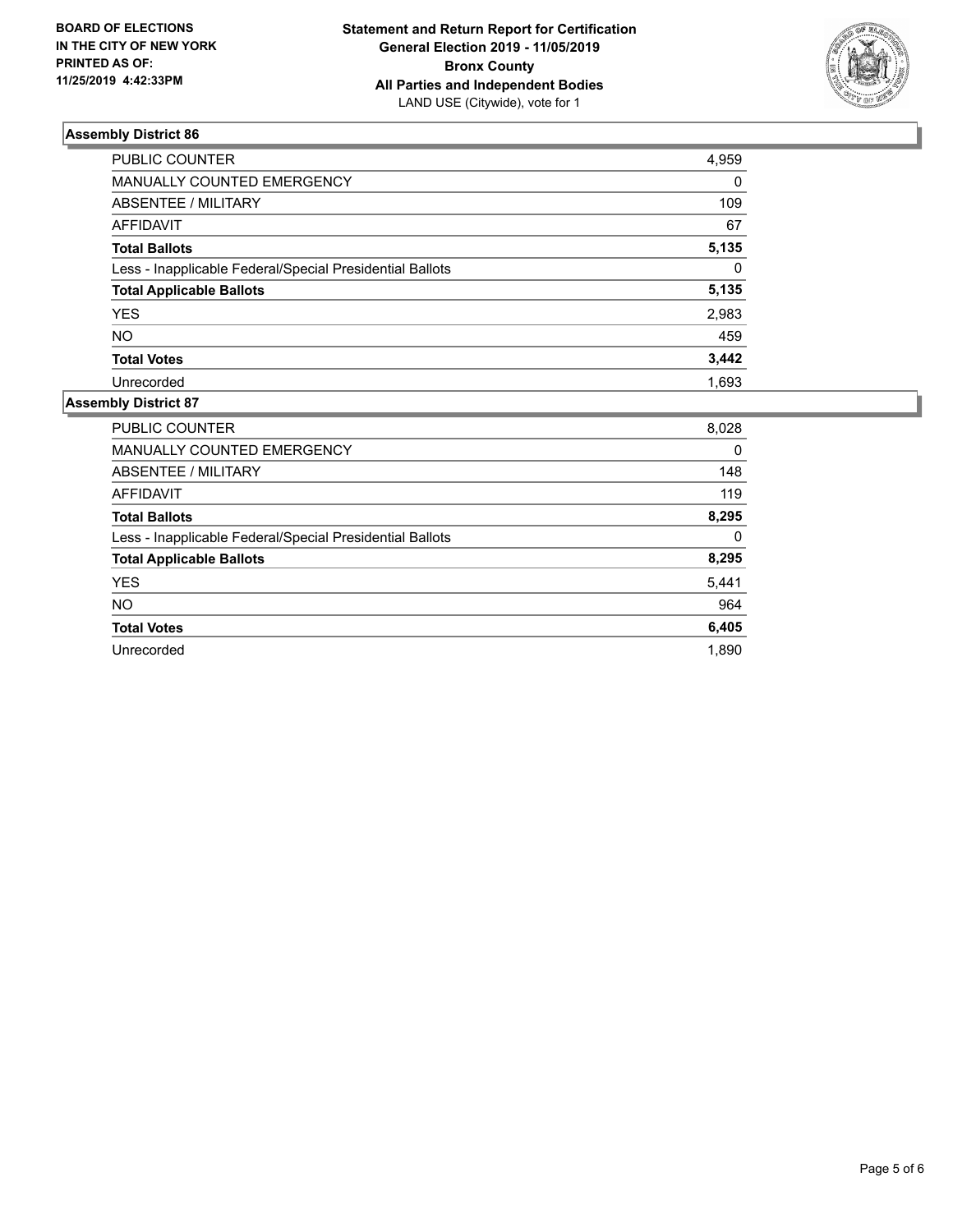

| <b>PUBLIC COUNTER</b>                                    | 4,959    |
|----------------------------------------------------------|----------|
| MANUALLY COUNTED EMERGENCY                               | $\Omega$ |
| <b>ABSENTEE / MILITARY</b>                               | 109      |
| <b>AFFIDAVIT</b>                                         | 67       |
| <b>Total Ballots</b>                                     | 5,135    |
| Less - Inapplicable Federal/Special Presidential Ballots | $\Omega$ |
| <b>Total Applicable Ballots</b>                          | 5,135    |
| <b>YES</b>                                               | 2,983    |
| <b>NO</b>                                                | 459      |
| <b>Total Votes</b>                                       | 3,442    |
| Unrecorded                                               | 1.693    |

| PUBLIC COUNTER                                           | 8,028 |
|----------------------------------------------------------|-------|
| <b>MANUALLY COUNTED EMERGENCY</b>                        | 0     |
| ABSENTEE / MILITARY                                      | 148   |
| <b>AFFIDAVIT</b>                                         | 119   |
| <b>Total Ballots</b>                                     | 8,295 |
| Less - Inapplicable Federal/Special Presidential Ballots | 0     |
| <b>Total Applicable Ballots</b>                          | 8,295 |
| <b>YES</b>                                               | 5,441 |
| <b>NO</b>                                                | 964   |
| <b>Total Votes</b>                                       | 6,405 |
| Unrecorded                                               | 1.890 |